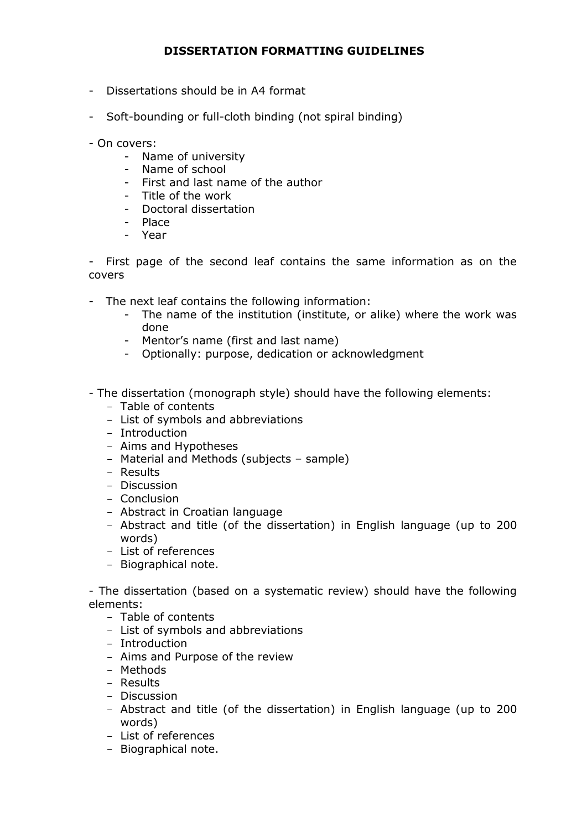## **DISSERTATION FORMATTING GUIDELINES**

- Dissertations should be in A4 format
- Soft-bounding or full-cloth binding (not spiral binding)
- On covers:
	- Name of university
	- Name of school
	- First and last name of the author
	- Title of the work
	- Doctoral dissertation
	- Place
	- Year

- First page of the second leaf contains the same information as on the covers

- The next leaf contains the following information:
	- The name of the institution (institute, or alike) where the work was done
	- Mentor's name (first and last name)
	- Optionally: purpose, dedication or acknowledgment
- The dissertation (monograph style) should have the following elements:
	- Table of contents
	- List of symbols and abbreviations
	- Introduction
	- Aims and Hypotheses
	- Material and Methods (subjects sample)
	- Results
	- Discussion
	- Conclusion
	- Abstract in Croatian language
	- Abstract and title (of the dissertation) in English language (up to 200 words)
	- List of references
	- Biographical note.

- The dissertation (based on a systematic review) should have the following elements:

- Table of contents
- List of symbols and abbreviations
- Introduction
- Aims and Purpose of the review
- Methods
- Results
- Discussion
- Abstract and title (of the dissertation) in English language (up to 200 words)
- List of references
- Biographical note.